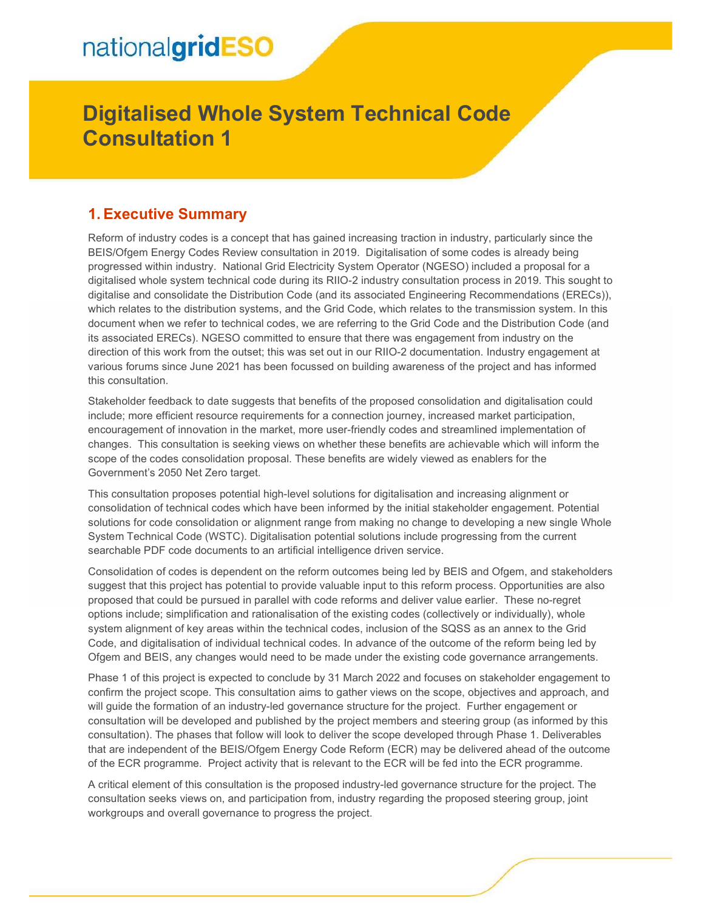# nationalgridESO

# Digitalised Whole System Technical Code Consultation 1

## 1. Executive Summary

Reform of industry codes is a concept that has gained increasing traction in industry, particularly since the BEIS/Ofgem Energy Codes Review consultation in 2019. Digitalisation of some codes is already being progressed within industry. National Grid Electricity System Operator (NGESO) included a proposal for a digitalised whole system technical code during its RIIO-2 industry consultation process in 2019. This sought to digitalise and consolidate the Distribution Code (and its associated Engineering Recommendations (ERECs)), which relates to the distribution systems, and the Grid Code, which relates to the transmission system. In this document when we refer to technical codes, we are referring to the Grid Code and the Distribution Code (and its associated ERECs). NGESO committed to ensure that there was engagement from industry on the direction of this work from the outset; this was set out in our RIIO-2 documentation. Industry engagement at various forums since June 2021 has been focussed on building awareness of the project and has informed this consultation.

Stakeholder feedback to date suggests that benefits of the proposed consolidation and digitalisation could include; more efficient resource requirements for a connection journey, increased market participation, encouragement of innovation in the market, more user-friendly codes and streamlined implementation of changes. This consultation is seeking views on whether these benefits are achievable which will inform the scope of the codes consolidation proposal. These benefits are widely viewed as enablers for the Government's 2050 Net Zero target.

This consultation proposes potential high-level solutions for digitalisation and increasing alignment or consolidation of technical codes which have been informed by the initial stakeholder engagement. Potential solutions for code consolidation or alignment range from making no change to developing a new single Whole System Technical Code (WSTC). Digitalisation potential solutions include progressing from the current searchable PDF code documents to an artificial intelligence driven service.

Consolidation of codes is dependent on the reform outcomes being led by BEIS and Ofgem, and stakeholders suggest that this project has potential to provide valuable input to this reform process. Opportunities are also proposed that could be pursued in parallel with code reforms and deliver value earlier. These no-regret options include; simplification and rationalisation of the existing codes (collectively or individually), whole system alignment of key areas within the technical codes, inclusion of the SQSS as an annex to the Grid Code, and digitalisation of individual technical codes. In advance of the outcome of the reform being led by Ofgem and BEIS, any changes would need to be made under the existing code governance arrangements.

Phase 1 of this project is expected to conclude by 31 March 2022 and focuses on stakeholder engagement to confirm the project scope. This consultation aims to gather views on the scope, objectives and approach, and will guide the formation of an industry-led governance structure for the project. Further engagement or consultation will be developed and published by the project members and steering group (as informed by this consultation). The phases that follow will look to deliver the scope developed through Phase 1. Deliverables that are independent of the BEIS/Ofgem Energy Code Reform (ECR) may be delivered ahead of the outcome of the ECR programme. Project activity that is relevant to the ECR will be fed into the ECR programme.

A critical element of this consultation is the proposed industry-led governance structure for the project. The consultation seeks views on, and participation from, industry regarding the proposed steering group, joint workgroups and overall governance to progress the project.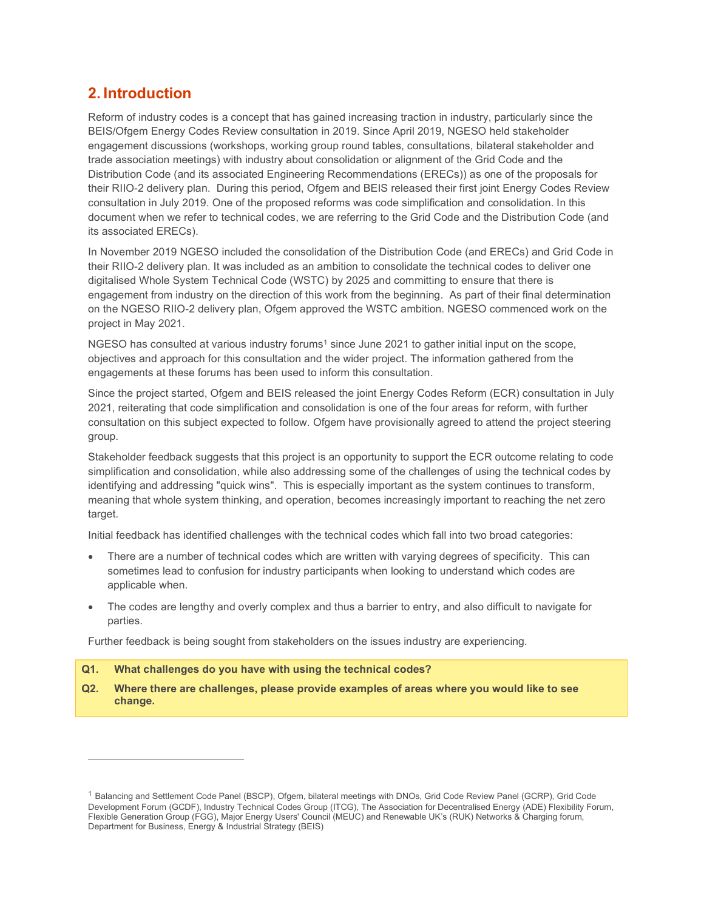# 2. Introduction

Reform of industry codes is a concept that has gained increasing traction in industry, particularly since the BEIS/Ofgem Energy Codes Review consultation in 2019. Since April 2019, NGESO held stakeholder engagement discussions (workshops, working group round tables, consultations, bilateral stakeholder and trade association meetings) with industry about consolidation or alignment of the Grid Code and the Distribution Code (and its associated Engineering Recommendations (ERECs)) as one of the proposals for their RIIO-2 delivery plan. During this period, Ofgem and BEIS released their first joint Energy Codes Review consultation in July 2019. One of the proposed reforms was code simplification and consolidation. In this document when we refer to technical codes, we are referring to the Grid Code and the Distribution Code (and its associated ERECs).

In November 2019 NGESO included the consolidation of the Distribution Code (and ERECs) and Grid Code in their RIIO-2 delivery plan. It was included as an ambition to consolidate the technical codes to deliver one digitalised Whole System Technical Code (WSTC) by 2025 and committing to ensure that there is engagement from industry on the direction of this work from the beginning. As part of their final determination on the NGESO RIIO-2 delivery plan, Ofgem approved the WSTC ambition. NGESO commenced work on the project in May 2021.

NGESO has consulted at various industry forums<sup>1</sup> since June 2021 to gather initial input on the scope, objectives and approach for this consultation and the wider project. The information gathered from the engagements at these forums has been used to inform this consultation.

Since the project started, Ofgem and BEIS released the joint Energy Codes Reform (ECR) consultation in July 2021, reiterating that code simplification and consolidation is one of the four areas for reform, with further consultation on this subject expected to follow. Ofgem have provisionally agreed to attend the project steering group.

Stakeholder feedback suggests that this project is an opportunity to support the ECR outcome relating to code simplification and consolidation, while also addressing some of the challenges of using the technical codes by identifying and addressing "quick wins". This is especially important as the system continues to transform, meaning that whole system thinking, and operation, becomes increasingly important to reaching the net zero target.

Initial feedback has identified challenges with the technical codes which fall into two broad categories:

- There are a number of technical codes which are written with varying degrees of specificity. This can sometimes lead to confusion for industry participants when looking to understand which codes are applicable when.
- The codes are lengthy and overly complex and thus a barrier to entry, and also difficult to navigate for parties.

Further feedback is being sought from stakeholders on the issues industry are experiencing.

#### Q1. What challenges do you have with using the technical codes?

Q2. Where there are challenges, please provide examples of areas where you would like to see change.

<sup>1</sup> Balancing and Settlement Code Panel (BSCP), Ofgem, bilateral meetings with DNOs, Grid Code Review Panel (GCRP), Grid Code Development Forum (GCDF), Industry Technical Codes Group (ITCG), The Association for Decentralised Energy (ADE) Flexibility Forum, Flexible Generation Group (FGG), Major Energy Users' Council (MEUC) and Renewable UK's (RUK) Networks & Charging forum, Department for Business, Energy & Industrial Strategy (BEIS)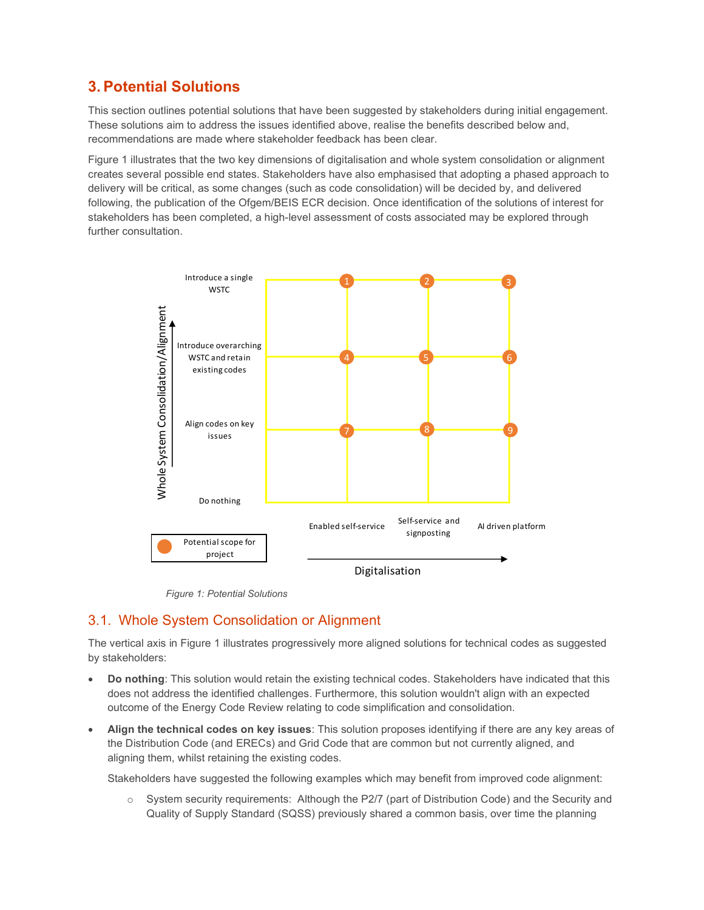# 3. Potential Solutions

This section outlines potential solutions that have been suggested by stakeholders during initial engagement. These solutions aim to address the issues identified above, realise the benefits described below and, recommendations are made where stakeholder feedback has been clear.

Figure 1 illustrates that the two key dimensions of digitalisation and whole system consolidation or alignment creates several possible end states. Stakeholders have also emphasised that adopting a phased approach to delivery will be critical, as some changes (such as code consolidation) will be decided by, and delivered following, the publication of the Ofgem/BEIS ECR decision. Once identification of the solutions of interest for stakeholders has been completed, a high-level assessment of costs associated may be explored through further consultation.



Figure 1: Potential Solutions

## 3.1. Whole System Consolidation or Alignment

The vertical axis in Figure 1 illustrates progressively more aligned solutions for technical codes as suggested by stakeholders:

- Do nothing: This solution would retain the existing technical codes. Stakeholders have indicated that this does not address the identified challenges. Furthermore, this solution wouldn't align with an expected outcome of the Energy Code Review relating to code simplification and consolidation.
- Align the technical codes on key issues: This solution proposes identifying if there are any key areas of the Distribution Code (and ERECs) and Grid Code that are common but not currently aligned, and aligning them, whilst retaining the existing codes.

Stakeholders have suggested the following examples which may benefit from improved code alignment:

 $\circ$  System security requirements: Although the P2/7 (part of Distribution Code) and the Security and Quality of Supply Standard (SQSS) previously shared a common basis, over time the planning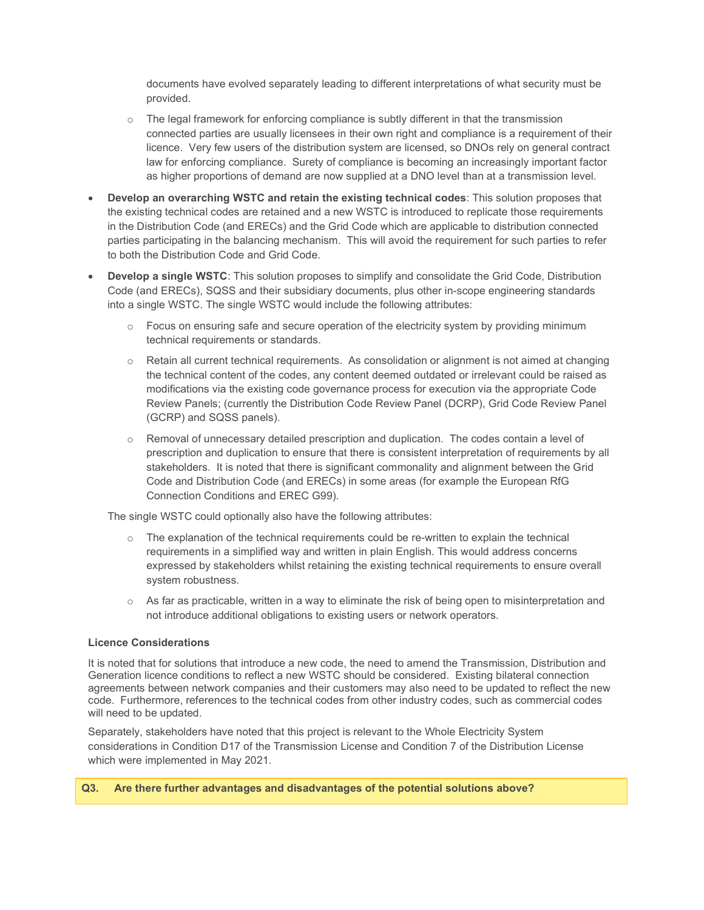documents have evolved separately leading to different interpretations of what security must be provided.

- o The legal framework for enforcing compliance is subtly different in that the transmission connected parties are usually licensees in their own right and compliance is a requirement of their licence. Very few users of the distribution system are licensed, so DNOs rely on general contract law for enforcing compliance. Surety of compliance is becoming an increasingly important factor as higher proportions of demand are now supplied at a DNO level than at a transmission level.
- Develop an overarching WSTC and retain the existing technical codes: This solution proposes that the existing technical codes are retained and a new WSTC is introduced to replicate those requirements in the Distribution Code (and ERECs) and the Grid Code which are applicable to distribution connected parties participating in the balancing mechanism. This will avoid the requirement for such parties to refer to both the Distribution Code and Grid Code.
- Develop a single WSTC: This solution proposes to simplify and consolidate the Grid Code, Distribution Code (and ERECs), SQSS and their subsidiary documents, plus other in-scope engineering standards into a single WSTC. The single WSTC would include the following attributes:
	- $\circ$  Focus on ensuring safe and secure operation of the electricity system by providing minimum technical requirements or standards.
	- $\circ$  Retain all current technical requirements. As consolidation or alignment is not aimed at changing the technical content of the codes, any content deemed outdated or irrelevant could be raised as modifications via the existing code governance process for execution via the appropriate Code Review Panels; (currently the Distribution Code Review Panel (DCRP), Grid Code Review Panel (GCRP) and SQSS panels).
	- $\circ$  Removal of unnecessary detailed prescription and duplication. The codes contain a level of prescription and duplication to ensure that there is consistent interpretation of requirements by all stakeholders. It is noted that there is significant commonality and alignment between the Grid Code and Distribution Code (and ERECs) in some areas (for example the European RfG Connection Conditions and EREC G99).

The single WSTC could optionally also have the following attributes:

- $\circ$  The explanation of the technical requirements could be re-written to explain the technical requirements in a simplified way and written in plain English. This would address concerns expressed by stakeholders whilst retaining the existing technical requirements to ensure overall system robustness.
- $\circ$  As far as practicable, written in a way to eliminate the risk of being open to misinterpretation and not introduce additional obligations to existing users or network operators.

#### Licence Considerations

It is noted that for solutions that introduce a new code, the need to amend the Transmission, Distribution and Generation licence conditions to reflect a new WSTC should be considered. Existing bilateral connection agreements between network companies and their customers may also need to be updated to reflect the new code. Furthermore, references to the technical codes from other industry codes, such as commercial codes will need to be updated.

Separately, stakeholders have noted that this project is relevant to the Whole Electricity System considerations in Condition D17 of the Transmission License and Condition 7 of the Distribution License which were implemented in May 2021.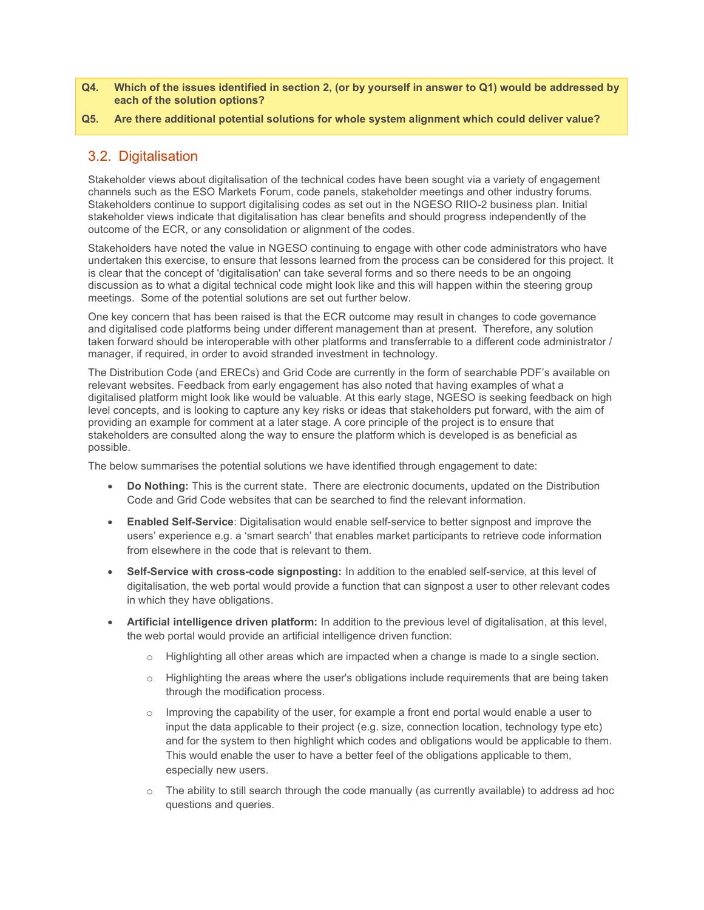- Q4. Which of the issues identified in section 2, (or by yourself in answer to Q1) would be addressed by each of the solution options?
- Q5. Are there additional potential solutions for whole system alignment which could deliver value?

## 3.2. Digitalisation

Stakeholder views about digitalisation of the technical codes have been sought via a variety of engagement channels such as the ESO Markets Forum, code panels, stakeholder meetings and other industry forums. Stakeholders continue to support digitalising codes as set out in the NGESO RIIO-2 business plan. Initial stakeholder views indicate that digitalisation has clear benefits and should progress independently of the outcome of the ECR, or any consolidation or alignment of the codes.

Stakeholders have noted the value in NGESO continuing to engage with other code administrators who have undertaken this exercise, to ensure that lessons learned from the process can be considered for this project. It is clear that the concept of 'digitalisation' can take several forms and so there needs to be an ongoing discussion as to what a digital technical code might look like and this will happen within the steering group meetings. Some of the potential solutions are set out further below.

One key concern that has been raised is that the ECR outcome may result in changes to code governance and digitalised code platforms being under different management than at present. Therefore, any solution taken forward should be interoperable with other platforms and transferrable to a different code administrator / manager, if required, in order to avoid stranded investment in technology.

The Distribution Code (and ERECs) and Grid Code are currently in the form of searchable PDF's available on relevant websites. Feedback from early engagement has also noted that having examples of what a digitalised platform might look like would be valuable. At this early stage, NGESO is seeking feedback on high level concepts, and is looking to capture any key risks or ideas that stakeholders put forward, with the aim of providing an example for comment at a later stage. A core principle of the project is to ensure that stakeholders are consulted along the way to ensure the platform which is developed is as beneficial as possible.

The below summarises the potential solutions we have identified through engagement to date:

- Do Nothing: This is the current state. There are electronic documents, updated on the Distribution Code and Grid Code websites that can be searched to find the relevant information.
- Enabled Self-Service: Digitalisation would enable self-service to better signpost and improve the users' experience e.g. a 'smart search' that enables market participants to retrieve code information from elsewhere in the code that is relevant to them.
- Self-Service with cross-code signposting: In addition to the enabled self-service, at this level of digitalisation, the web portal would provide a function that can signpost a user to other relevant codes in which they have obligations.
- Artificial intelligence driven platform: In addition to the previous level of digitalisation, at this level, the web portal would provide an artificial intelligence driven function:
	- o Highlighting all other areas which are impacted when a change is made to a single section.
	- $\circ$  Highlighting the areas where the user's obligations include requirements that are being taken through the modification process.
	- $\circ$  Improving the capability of the user, for example a front end portal would enable a user to input the data applicable to their project (e.g. size, connection location, technology type etc) and for the system to then highlight which codes and obligations would be applicable to them. This would enable the user to have a better feel of the obligations applicable to them, especially new users.
	- o The ability to still search through the code manually (as currently available) to address ad hoc questions and queries.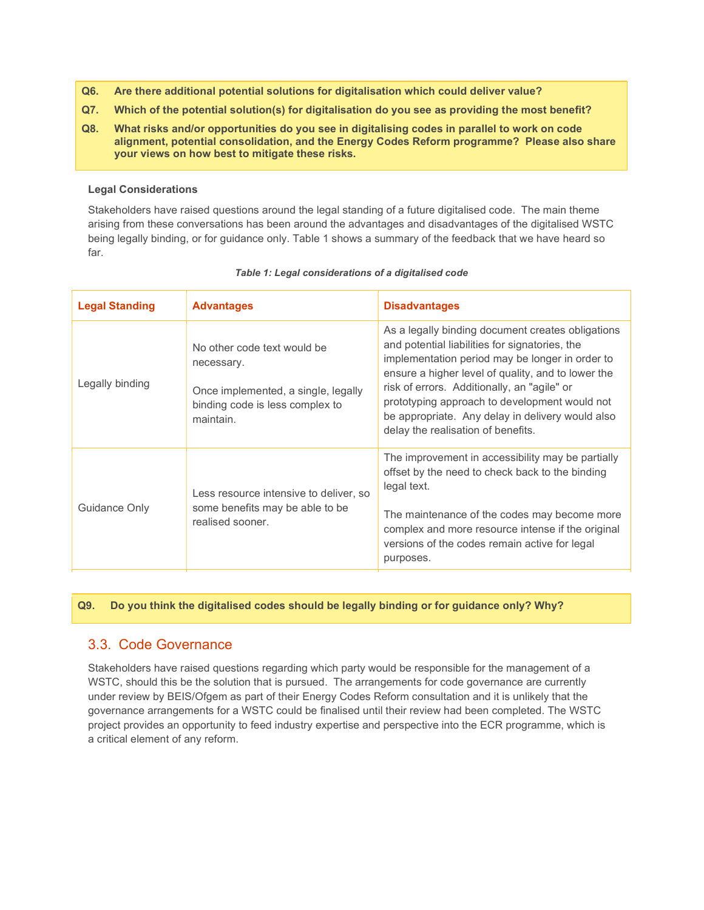- Q6. Are there additional potential solutions for digitalisation which could deliver value?
- Q7. Which of the potential solution(s) for digitalisation do you see as providing the most benefit?
- Q8. What risks and/or opportunities do you see in digitalising codes in parallel to work on code alignment, potential consolidation, and the Energy Codes Reform programme? Please also share your views on how best to mitigate these risks.

#### Legal Considerations

Stakeholders have raised questions around the legal standing of a future digitalised code. The main theme arising from these conversations has been around the advantages and disadvantages of the digitalised WSTC being legally binding, or for guidance only. Table 1 shows a summary of the feedback that we have heard so far.

| <b>Legal Standing</b> | <b>Advantages</b>                                                                                                                | <b>Disadvantages</b>                                                                                                                                                                                                                                                                                                                                                                                   |
|-----------------------|----------------------------------------------------------------------------------------------------------------------------------|--------------------------------------------------------------------------------------------------------------------------------------------------------------------------------------------------------------------------------------------------------------------------------------------------------------------------------------------------------------------------------------------------------|
| Legally binding       | No other code text would be<br>necessary.<br>Once implemented, a single, legally<br>binding code is less complex to<br>maintain. | As a legally binding document creates obligations<br>and potential liabilities for signatories, the<br>implementation period may be longer in order to<br>ensure a higher level of quality, and to lower the<br>risk of errors. Additionally, an "agile" or<br>prototyping approach to development would not<br>be appropriate. Any delay in delivery would also<br>delay the realisation of benefits. |
| Guidance Only         | Less resource intensive to deliver, so<br>some benefits may be able to be<br>realised sooner.                                    | The improvement in accessibility may be partially<br>offset by the need to check back to the binding<br>legal text.<br>The maintenance of the codes may become more<br>complex and more resource intense if the original<br>versions of the codes remain active for legal<br>purposes.                                                                                                                 |

#### Table 1: Legal considerations of a digitalised code

Q9. Do you think the digitalised codes should be legally binding or for guidance only? Why?

### 3.3. Code Governance

Stakeholders have raised questions regarding which party would be responsible for the management of a WSTC, should this be the solution that is pursued. The arrangements for code governance are currently under review by BEIS/Ofgem as part of their Energy Codes Reform consultation and it is unlikely that the governance arrangements for a WSTC could be finalised until their review had been completed. The WSTC project provides an opportunity to feed industry expertise and perspective into the ECR programme, which is a critical element of any reform.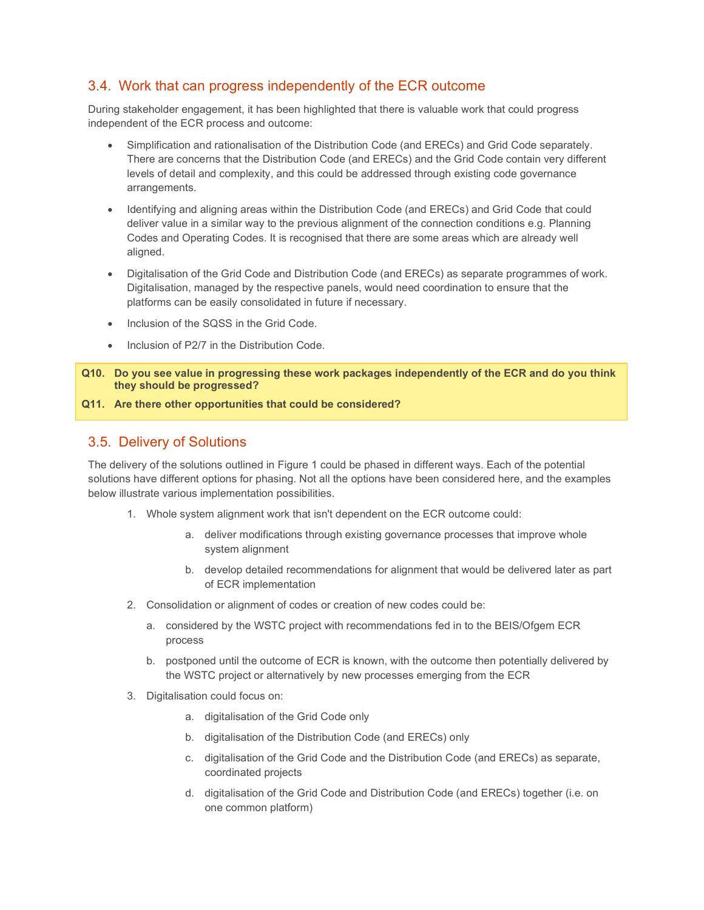## 3.4. Work that can progress independently of the ECR outcome

During stakeholder engagement, it has been highlighted that there is valuable work that could progress independent of the ECR process and outcome:

- Simplification and rationalisation of the Distribution Code (and ERECs) and Grid Code separately. There are concerns that the Distribution Code (and ERECs) and the Grid Code contain very different levels of detail and complexity, and this could be addressed through existing code governance arrangements.
- Identifying and aligning areas within the Distribution Code (and ERECs) and Grid Code that could deliver value in a similar way to the previous alignment of the connection conditions e.g. Planning Codes and Operating Codes. It is recognised that there are some areas which are already well aligned.
- Digitalisation of the Grid Code and Distribution Code (and ERECs) as separate programmes of work. Digitalisation, managed by the respective panels, would need coordination to ensure that the platforms can be easily consolidated in future if necessary.
- Inclusion of the SQSS in the Grid Code.
- Inclusion of P2/7 in the Distribution Code.

Q10. Do you see value in progressing these work packages independently of the ECR and do you think they should be progressed?

#### Q11. Are there other opportunities that could be considered?

### 3.5. Delivery of Solutions

The delivery of the solutions outlined in Figure 1 could be phased in different ways. Each of the potential solutions have different options for phasing. Not all the options have been considered here, and the examples below illustrate various implementation possibilities.

- 1. Whole system alignment work that isn't dependent on the ECR outcome could:
	- a. deliver modifications through existing governance processes that improve whole system alignment
	- b. develop detailed recommendations for alignment that would be delivered later as part of ECR implementation
- 2. Consolidation or alignment of codes or creation of new codes could be:
	- a. considered by the WSTC project with recommendations fed in to the BEIS/Ofgem ECR process
	- b. postponed until the outcome of ECR is known, with the outcome then potentially delivered by the WSTC project or alternatively by new processes emerging from the ECR
- 3. Digitalisation could focus on:
	- a. digitalisation of the Grid Code only
	- b. digitalisation of the Distribution Code (and ERECs) only
	- c. digitalisation of the Grid Code and the Distribution Code (and ERECs) as separate, coordinated projects
	- d. digitalisation of the Grid Code and Distribution Code (and ERECs) together (i.e. on one common platform)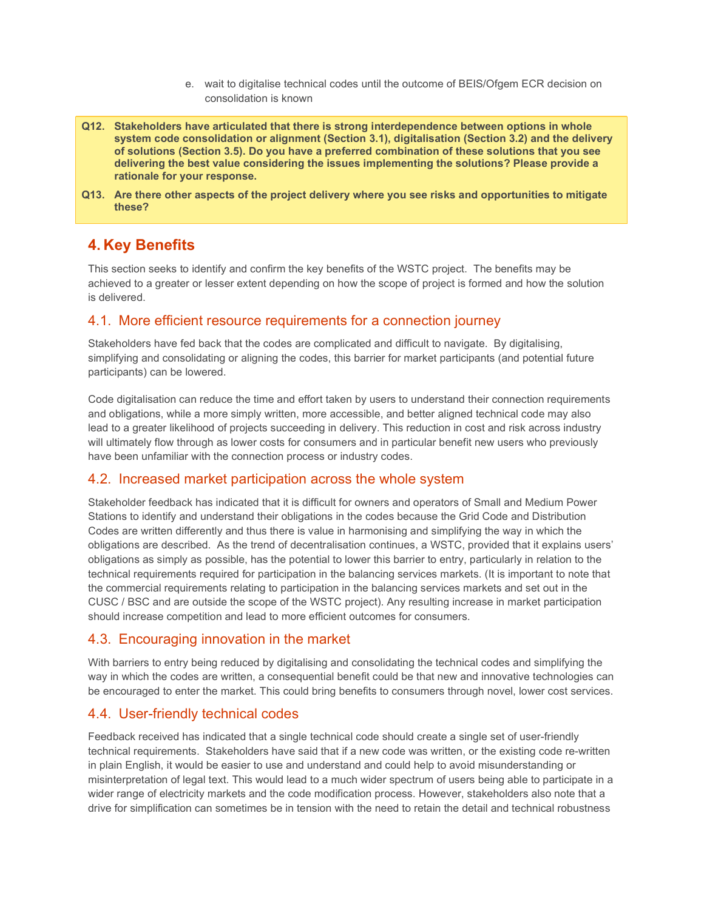- e. wait to digitalise technical codes until the outcome of BEIS/Ofgem ECR decision on consolidation is known
- Q12. Stakeholders have articulated that there is strong interdependence between options in whole system code consolidation or alignment (Section 3.1), digitalisation (Section 3.2) and the delivery of solutions (Section 3.5). Do you have a preferred combination of these solutions that you see delivering the best value considering the issues implementing the solutions? Please provide a rationale for your response.
- Q13. Are there other aspects of the project delivery where you see risks and opportunities to mitigate these?

# 4. Key Benefits

This section seeks to identify and confirm the key benefits of the WSTC project. The benefits may be achieved to a greater or lesser extent depending on how the scope of project is formed and how the solution is delivered.

### 4.1. More efficient resource requirements for a connection journey

Stakeholders have fed back that the codes are complicated and difficult to navigate. By digitalising, simplifying and consolidating or aligning the codes, this barrier for market participants (and potential future participants) can be lowered.

Code digitalisation can reduce the time and effort taken by users to understand their connection requirements and obligations, while a more simply written, more accessible, and better aligned technical code may also lead to a greater likelihood of projects succeeding in delivery. This reduction in cost and risk across industry will ultimately flow through as lower costs for consumers and in particular benefit new users who previously have been unfamiliar with the connection process or industry codes.

### 4.2. Increased market participation across the whole system

Stakeholder feedback has indicated that it is difficult for owners and operators of Small and Medium Power Stations to identify and understand their obligations in the codes because the Grid Code and Distribution Codes are written differently and thus there is value in harmonising and simplifying the way in which the obligations are described. As the trend of decentralisation continues, a WSTC, provided that it explains users' obligations as simply as possible, has the potential to lower this barrier to entry, particularly in relation to the technical requirements required for participation in the balancing services markets. (It is important to note that the commercial requirements relating to participation in the balancing services markets and set out in the CUSC / BSC and are outside the scope of the WSTC project). Any resulting increase in market participation should increase competition and lead to more efficient outcomes for consumers.

## 4.3. Encouraging innovation in the market

With barriers to entry being reduced by digitalising and consolidating the technical codes and simplifying the way in which the codes are written, a consequential benefit could be that new and innovative technologies can be encouraged to enter the market. This could bring benefits to consumers through novel, lower cost services.

## 4.4. User-friendly technical codes

Feedback received has indicated that a single technical code should create a single set of user-friendly technical requirements. Stakeholders have said that if a new code was written, or the existing code re-written in plain English, it would be easier to use and understand and could help to avoid misunderstanding or misinterpretation of legal text. This would lead to a much wider spectrum of users being able to participate in a wider range of electricity markets and the code modification process. However, stakeholders also note that a drive for simplification can sometimes be in tension with the need to retain the detail and technical robustness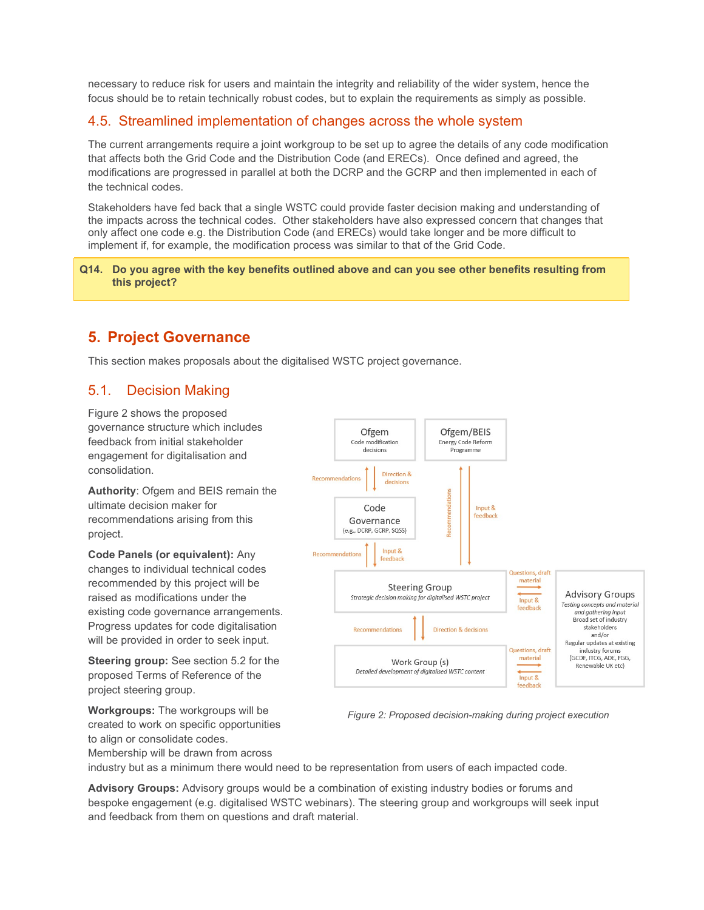necessary to reduce risk for users and maintain the integrity and reliability of the wider system, hence the focus should be to retain technically robust codes, but to explain the requirements as simply as possible.

## 4.5. Streamlined implementation of changes across the whole system

The current arrangements require a joint workgroup to be set up to agree the details of any code modification that affects both the Grid Code and the Distribution Code (and ERECs). Once defined and agreed, the modifications are progressed in parallel at both the DCRP and the GCRP and then implemented in each of the technical codes.

Stakeholders have fed back that a single WSTC could provide faster decision making and understanding of the impacts across the technical codes. Other stakeholders have also expressed concern that changes that only affect one code e.g. the Distribution Code (and ERECs) would take longer and be more difficult to implement if, for example, the modification process was similar to that of the Grid Code.

#### Q14. Do you agree with the key benefits outlined above and can you see other benefits resulting from this project?

# 5. Project Governance

This section makes proposals about the digitalised WSTC project governance.

## 5.1. Decision Making

Figure 2 shows the proposed governance structure which includes feedback from initial stakeholder engagement for digitalisation and consolidation.

Authority: Ofgem and BEIS remain the ultimate decision maker for recommendations arising from this project.

Code Panels (or equivalent): Any changes to individual technical codes recommended by this project will be raised as modifications under the existing code governance arrangements. Progress updates for code digitalisation will be provided in order to seek input.

Steering group: See section 5.2 for the proposed Terms of Reference of the project steering group.



Figure 2: Proposed decision-making during project execution

Workgroups: The workgroups will be created to work on specific opportunities to align or consolidate codes. Membership will be drawn from across

industry but as a minimum there would need to be representation from users of each impacted code.

Advisory Groups: Advisory groups would be a combination of existing industry bodies or forums and bespoke engagement (e.g. digitalised WSTC webinars). The steering group and workgroups will seek input and feedback from them on questions and draft material.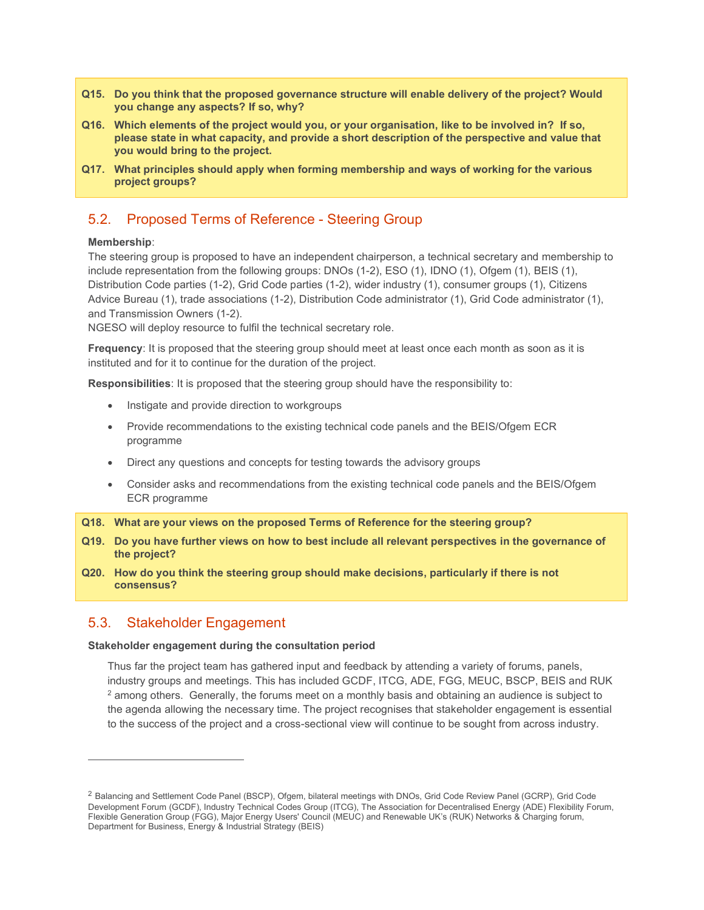- Q15. Do you think that the proposed governance structure will enable delivery of the project? Would you change any aspects? If so, why?
- Q16. Which elements of the project would you, or your organisation, like to be involved in? If so, please state in what capacity, and provide a short description of the perspective and value that you would bring to the project.
- Q17. What principles should apply when forming membership and ways of working for the various project groups?

## 5.2. Proposed Terms of Reference - Steering Group

#### Membership:

The steering group is proposed to have an independent chairperson, a technical secretary and membership to include representation from the following groups: DNOs (1-2), ESO (1), IDNO (1), Ofgem (1), BEIS (1), Distribution Code parties (1-2), Grid Code parties (1-2), wider industry (1), consumer groups (1), Citizens Advice Bureau (1), trade associations (1-2), Distribution Code administrator (1), Grid Code administrator (1), and Transmission Owners (1-2).

NGESO will deploy resource to fulfil the technical secretary role.

Frequency: It is proposed that the steering group should meet at least once each month as soon as it is instituted and for it to continue for the duration of the project.

Responsibilities: It is proposed that the steering group should have the responsibility to:

- Instigate and provide direction to workgroups
- Provide recommendations to the existing technical code panels and the BEIS/Ofgem ECR programme
- Direct any questions and concepts for testing towards the advisory groups
- Consider asks and recommendations from the existing technical code panels and the BEIS/Ofgem ECR programme

Q18. What are your views on the proposed Terms of Reference for the steering group?

- Q19. Do you have further views on how to best include all relevant perspectives in the governance of the project?
- Q20. How do you think the steering group should make decisions, particularly if there is not consensus?

#### 5.3. Stakeholder Engagement

#### Stakeholder engagement during the consultation period

Thus far the project team has gathered input and feedback by attending a variety of forums, panels, industry groups and meetings. This has included GCDF, ITCG, ADE, FGG, MEUC, BSCP, BEIS and RUK  $^2$  among others. Generally, the forums meet on a monthly basis and obtaining an audience is subject to the agenda allowing the necessary time. The project recognises that stakeholder engagement is essential to the success of the project and a cross-sectional view will continue to be sought from across industry.

<sup>2</sup> Balancing and Settlement Code Panel (BSCP), Ofgem, bilateral meetings with DNOs, Grid Code Review Panel (GCRP), Grid Code Development Forum (GCDF), Industry Technical Codes Group (ITCG), The Association for Decentralised Energy (ADE) Flexibility Forum, Flexible Generation Group (FGG), Major Energy Users' Council (MEUC) and Renewable UK's (RUK) Networks & Charging forum, Department for Business, Energy & Industrial Strategy (BEIS)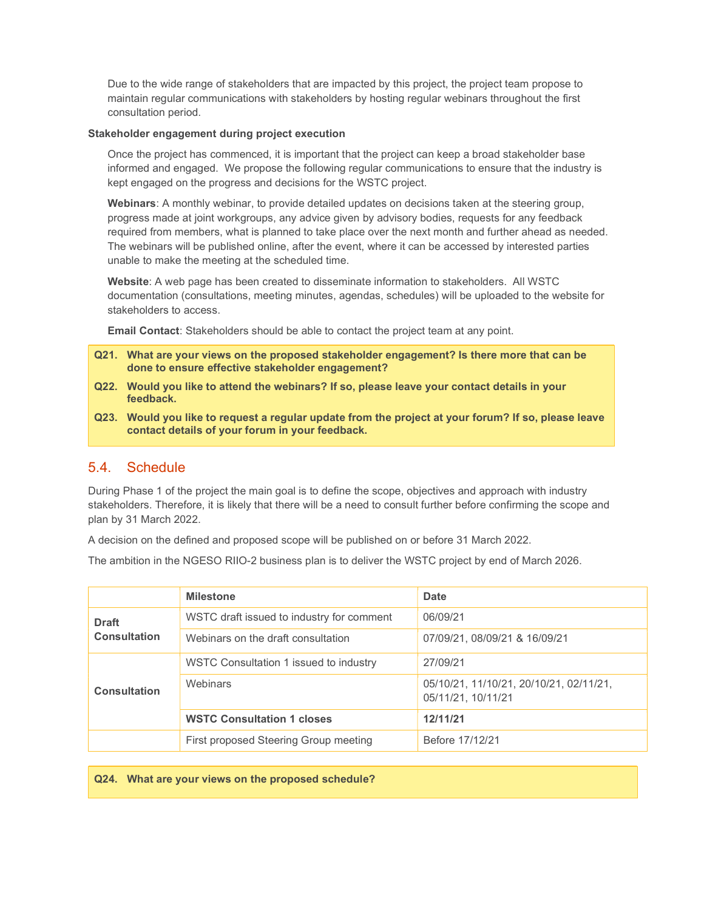Due to the wide range of stakeholders that are impacted by this project, the project team propose to maintain regular communications with stakeholders by hosting regular webinars throughout the first consultation period.

#### Stakeholder engagement during project execution

Once the project has commenced, it is important that the project can keep a broad stakeholder base informed and engaged. We propose the following regular communications to ensure that the industry is kept engaged on the progress and decisions for the WSTC project.

Webinars: A monthly webinar, to provide detailed updates on decisions taken at the steering group, progress made at joint workgroups, any advice given by advisory bodies, requests for any feedback required from members, what is planned to take place over the next month and further ahead as needed. The webinars will be published online, after the event, where it can be accessed by interested parties unable to make the meeting at the scheduled time.

Website: A web page has been created to disseminate information to stakeholders. All WSTC documentation (consultations, meeting minutes, agendas, schedules) will be uploaded to the website for stakeholders to access.

Email Contact: Stakeholders should be able to contact the project team at any point.

- Q21. What are your views on the proposed stakeholder engagement? Is there more that can be done to ensure effective stakeholder engagement?
- Q22. Would you like to attend the webinars? If so, please leave your contact details in your feedback.
- Q23. Would you like to request a regular update from the project at your forum? If so, please leave contact details of your forum in your feedback.

### 5.4. Schedule

During Phase 1 of the project the main goal is to define the scope, objectives and approach with industry stakeholders. Therefore, it is likely that there will be a need to consult further before confirming the scope and plan by 31 March 2022.

A decision on the defined and proposed scope will be published on or before 31 March 2022.

The ambition in the NGESO RIIO-2 business plan is to deliver the WSTC project by end of March 2026.

|                              | <b>Milestone</b>                          | <b>Date</b>                                                   |
|------------------------------|-------------------------------------------|---------------------------------------------------------------|
| <b>Draft</b><br>Consultation | WSTC draft issued to industry for comment | 06/09/21                                                      |
|                              | Webinars on the draft consultation        | 07/09/21, 08/09/21 & 16/09/21                                 |
| <b>Consultation</b>          | WSTC Consultation 1 issued to industry    | 27/09/21                                                      |
|                              | Webinars                                  | 05/10/21, 11/10/21, 20/10/21, 02/11/21,<br>05/11/21, 10/11/21 |
|                              | <b>WSTC Consultation 1 closes</b>         | 12/11/21                                                      |
|                              | First proposed Steering Group meeting     | Before 17/12/21                                               |

Q24. What are your views on the proposed schedule?